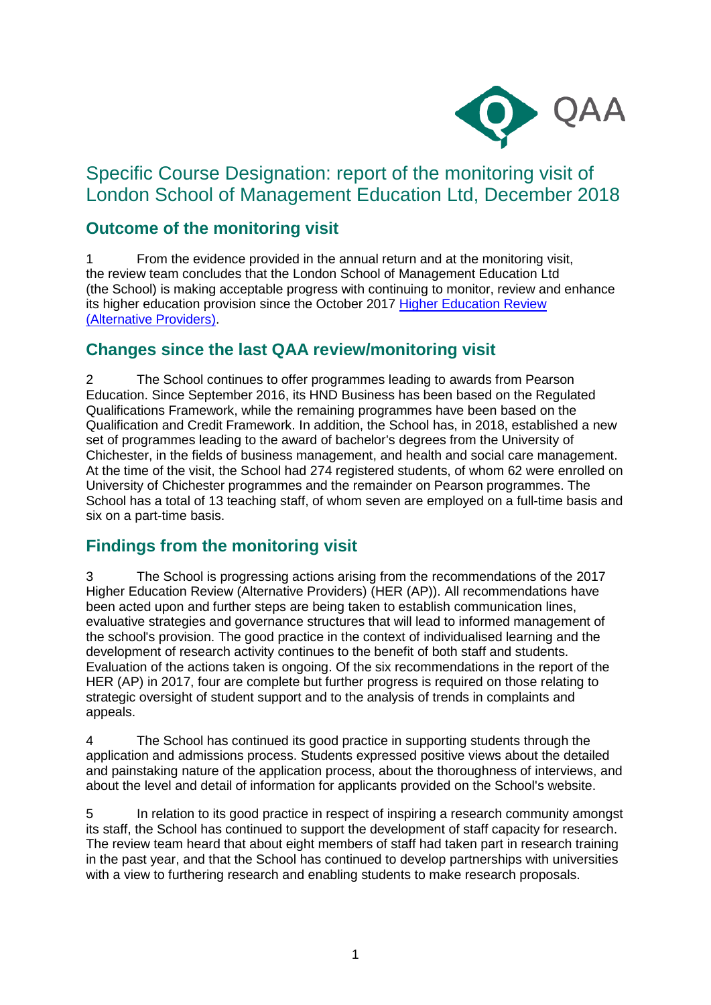

# Specific Course Designation: report of the monitoring visit of London School of Management Education Ltd, December 2018

## **Outcome of the monitoring visit**

1 From the evidence provided in the annual return and at the monitoring visit, the review team concludes that the London School of Management Education Ltd (the School) is making acceptable progress with continuing to monitor, review and enhance its higher education provision since the October 2017 [Higher Education Review](https://www.qaa.ac.uk/reviewing-higher-education/quality-assurance-reports/London-School-of-Management-Education-Ltd)  [\(Alternative Providers\).](https://www.qaa.ac.uk/reviewing-higher-education/quality-assurance-reports/London-School-of-Management-Education-Ltd)

### **Changes since the last QAA review/monitoring visit**

2 The School continues to offer programmes leading to awards from Pearson Education. Since September 2016, its HND Business has been based on the Regulated Qualifications Framework, while the remaining programmes have been based on the Qualification and Credit Framework. In addition, the School has, in 2018, established a new set of programmes leading to the award of bachelor's degrees from the University of Chichester, in the fields of business management, and health and social care management. At the time of the visit, the School had 274 registered students, of whom 62 were enrolled on University of Chichester programmes and the remainder on Pearson programmes. The School has a total of 13 teaching staff, of whom seven are employed on a full-time basis and six on a part-time basis.

#### **Findings from the monitoring visit**

3 The School is progressing actions arising from the recommendations of the 2017 Higher Education Review (Alternative Providers) (HER (AP)). All recommendations have been acted upon and further steps are being taken to establish communication lines, evaluative strategies and governance structures that will lead to informed management of the school's provision. The good practice in the context of individualised learning and the development of research activity continues to the benefit of both staff and students. Evaluation of the actions taken is ongoing. Of the six recommendations in the report of the HER (AP) in 2017, four are complete but further progress is required on those relating to strategic oversight of student support and to the analysis of trends in complaints and appeals.

4 The School has continued its good practice in supporting students through the application and admissions process. Students expressed positive views about the detailed and painstaking nature of the application process, about the thoroughness of interviews, and about the level and detail of information for applicants provided on the School's website.

5 In relation to its good practice in respect of inspiring a research community amongst its staff, the School has continued to support the development of staff capacity for research. The review team heard that about eight members of staff had taken part in research training in the past year, and that the School has continued to develop partnerships with universities with a view to furthering research and enabling students to make research proposals.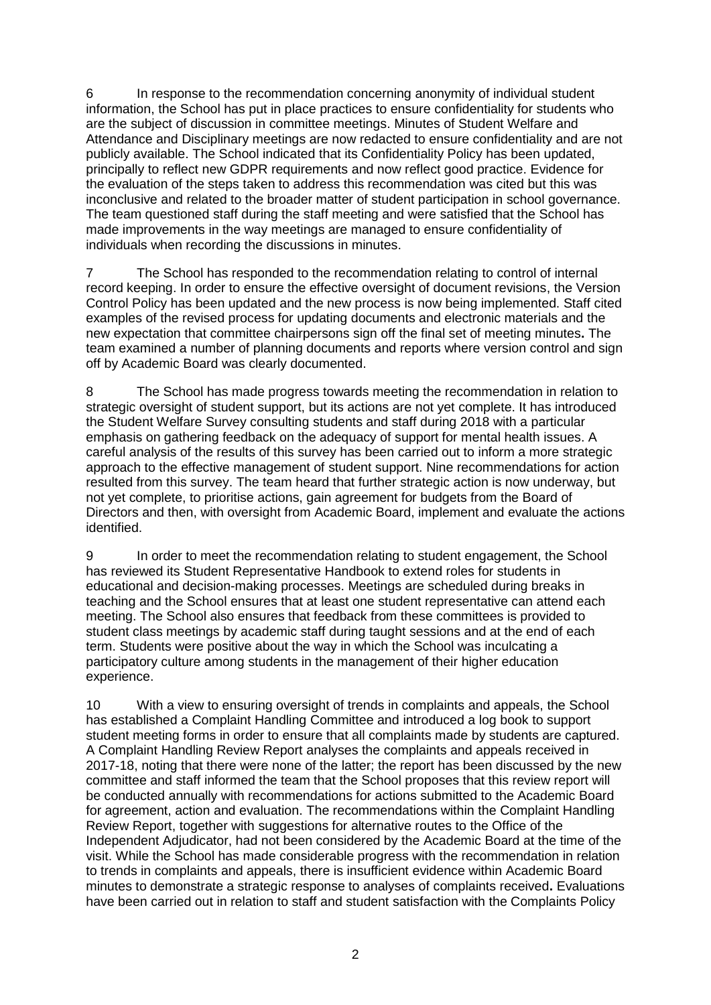6 In response to the recommendation concerning anonymity of individual student information, the School has put in place practices to ensure confidentiality for students who are the subject of discussion in committee meetings. Minutes of Student Welfare and Attendance and Disciplinary meetings are now redacted to ensure confidentiality and are not publicly available. The School indicated that its Confidentiality Policy has been updated, principally to reflect new GDPR requirements and now reflect good practice. Evidence for the evaluation of the steps taken to address this recommendation was cited but this was inconclusive and related to the broader matter of student participation in school governance. The team questioned staff during the staff meeting and were satisfied that the School has made improvements in the way meetings are managed to ensure confidentiality of individuals when recording the discussions in minutes.

7 The School has responded to the recommendation relating to control of internal record keeping. In order to ensure the effective oversight of document revisions, the Version Control Policy has been updated and the new process is now being implemented. Staff cited examples of the revised process for updating documents and electronic materials and the new expectation that committee chairpersons sign off the final set of meeting minutes**.** The team examined a number of planning documents and reports where version control and sign off by Academic Board was clearly documented.

8 The School has made progress towards meeting the recommendation in relation to strategic oversight of student support, but its actions are not yet complete. It has introduced the Student Welfare Survey consulting students and staff during 2018 with a particular emphasis on gathering feedback on the adequacy of support for mental health issues. A careful analysis of the results of this survey has been carried out to inform a more strategic approach to the effective management of student support. Nine recommendations for action resulted from this survey. The team heard that further strategic action is now underway, but not yet complete, to prioritise actions, gain agreement for budgets from the Board of Directors and then, with oversight from Academic Board, implement and evaluate the actions identified.

9 In order to meet the recommendation relating to student engagement, the School has reviewed its Student Representative Handbook to extend roles for students in educational and decision-making processes. Meetings are scheduled during breaks in teaching and the School ensures that at least one student representative can attend each meeting. The School also ensures that feedback from these committees is provided to student class meetings by academic staff during taught sessions and at the end of each term. Students were positive about the way in which the School was inculcating a participatory culture among students in the management of their higher education experience.

10 With a view to ensuring oversight of trends in complaints and appeals, the School has established a Complaint Handling Committee and introduced a log book to support student meeting forms in order to ensure that all complaints made by students are captured. A Complaint Handling Review Report analyses the complaints and appeals received in 2017-18, noting that there were none of the latter; the report has been discussed by the new committee and staff informed the team that the School proposes that this review report will be conducted annually with recommendations for actions submitted to the Academic Board for agreement, action and evaluation. The recommendations within the Complaint Handling Review Report, together with suggestions for alternative routes to the Office of the Independent Adjudicator, had not been considered by the Academic Board at the time of the visit. While the School has made considerable progress with the recommendation in relation to trends in complaints and appeals, there is insufficient evidence within Academic Board minutes to demonstrate a strategic response to analyses of complaints received**.** Evaluations have been carried out in relation to staff and student satisfaction with the Complaints Policy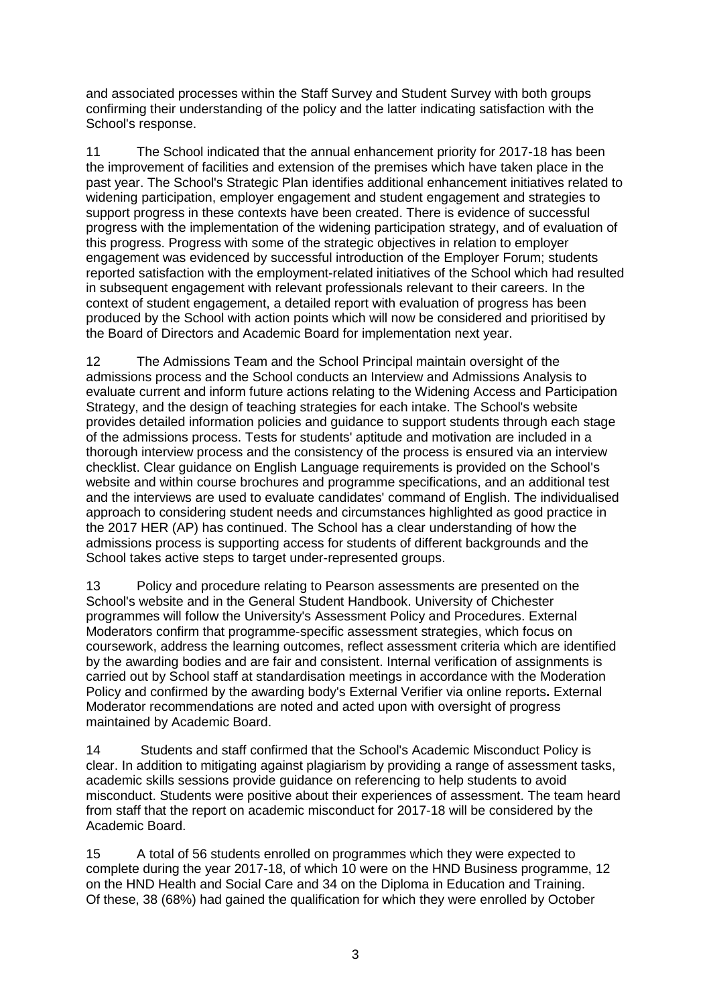and associated processes within the Staff Survey and Student Survey with both groups confirming their understanding of the policy and the latter indicating satisfaction with the School's response.

11 The School indicated that the annual enhancement priority for 2017-18 has been the improvement of facilities and extension of the premises which have taken place in the past year. The School's Strategic Plan identifies additional enhancement initiatives related to widening participation, employer engagement and student engagement and strategies to support progress in these contexts have been created. There is evidence of successful progress with the implementation of the widening participation strategy, and of evaluation of this progress. Progress with some of the strategic objectives in relation to employer engagement was evidenced by successful introduction of the Employer Forum; students reported satisfaction with the employment-related initiatives of the School which had resulted in subsequent engagement with relevant professionals relevant to their careers. In the context of student engagement, a detailed report with evaluation of progress has been produced by the School with action points which will now be considered and prioritised by the Board of Directors and Academic Board for implementation next year.

12 The Admissions Team and the School Principal maintain oversight of the admissions process and the School conducts an Interview and Admissions Analysis to evaluate current and inform future actions relating to the Widening Access and Participation Strategy, and the design of teaching strategies for each intake. The School's website provides detailed information policies and guidance to support students through each stage of the admissions process. Tests for students' aptitude and motivation are included in a thorough interview process and the consistency of the process is ensured via an interview checklist. Clear guidance on English Language requirements is provided on the School's website and within course brochures and programme specifications, and an additional test and the interviews are used to evaluate candidates' command of English. The individualised approach to considering student needs and circumstances highlighted as good practice in the 2017 HER (AP) has continued. The School has a clear understanding of how the admissions process is supporting access for students of different backgrounds and the School takes active steps to target under-represented groups.

13 Policy and procedure relating to Pearson assessments are presented on the School's website and in the General Student Handbook. University of Chichester programmes will follow the University's Assessment Policy and Procedures. External Moderators confirm that programme-specific assessment strategies, which focus on coursework, address the learning outcomes, reflect assessment criteria which are identified by the awarding bodies and are fair and consistent. Internal verification of assignments is carried out by School staff at standardisation meetings in accordance with the Moderation Policy and confirmed by the awarding body's External Verifier via online reports**.** External Moderator recommendations are noted and acted upon with oversight of progress maintained by Academic Board.

14 Students and staff confirmed that the School's Academic Misconduct Policy is clear. In addition to mitigating against plagiarism by providing a range of assessment tasks, academic skills sessions provide guidance on referencing to help students to avoid misconduct. Students were positive about their experiences of assessment. The team heard from staff that the report on academic misconduct for 2017-18 will be considered by the Academic Board.

15 A total of 56 students enrolled on programmes which they were expected to complete during the year 2017-18, of which 10 were on the HND Business programme, 12 on the HND Health and Social Care and 34 on the Diploma in Education and Training. Of these, 38 (68%) had gained the qualification for which they were enrolled by October